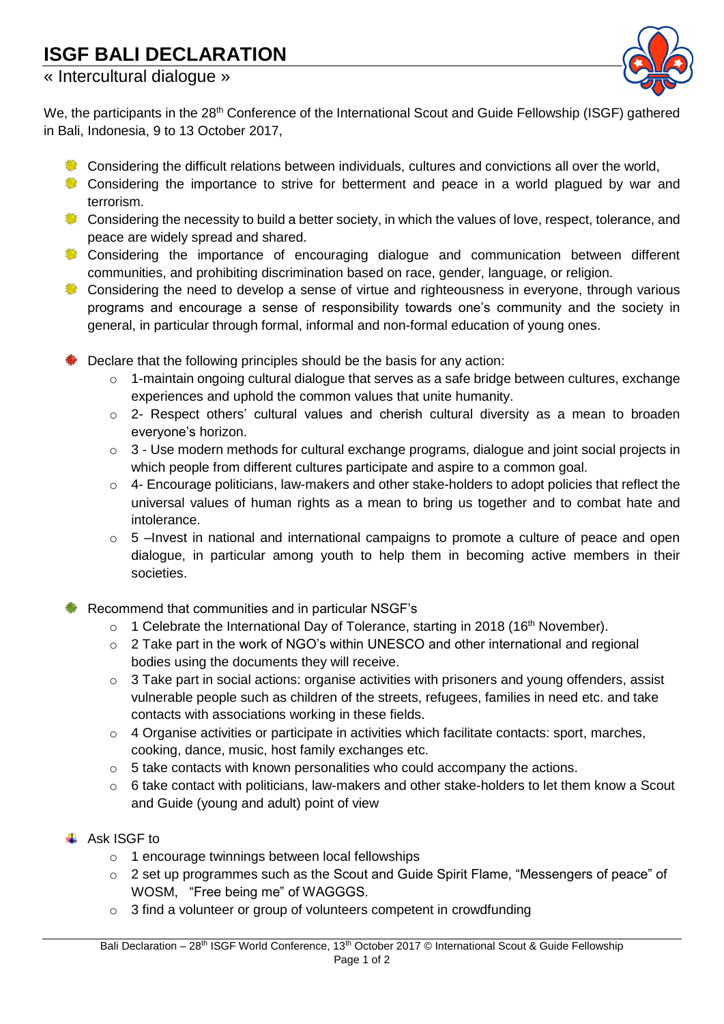## **ISGF BALI DECLARATION**

## « Intercultural dialogue »



We, the participants in the 28<sup>th</sup> Conference of the International Scout and Guide Fellowship (ISGF) gathered in Bali, Indonesia, 9 to 13 October 2017,

- **EXECONS** Considering the difficult relations between individuals, cultures and convictions all over the world,
- Considering the importance to strive for betterment and peace in a world plagued by war and terrorism.
- Considering the necessity to build a better society, in which the values of love, respect, tolerance, and peace are widely spread and shared.
- **Considering the importance of encouraging dialogue and communication between different** communities, and prohibiting discrimination based on race, gender, language, or religion.
- Considering the need to develop a sense of virtue and righteousness in everyone, through various programs and encourage a sense of responsibility towards one's community and the society in general, in particular through formal, informal and non-formal education of young ones.
- Declare that the following principles should be the basis for any action:
	- o 1-maintain ongoing cultural dialogue that serves as a safe bridge between cultures, exchange experiences and uphold the common values that unite humanity.
	- o 2- Respect others' cultural values and cherish cultural diversity as a mean to broaden everyone's horizon.
	- $\circ$  3 Use modern methods for cultural exchange programs, dialogue and joint social projects in which people from different cultures participate and aspire to a common goal.
	- $\circ$  4- Encourage politicians, law-makers and other stake-holders to adopt policies that reflect the universal values of human rights as a mean to bring us together and to combat hate and intolerance.
	- o 5 –Invest in national and international campaigns to promote a culture of peace and open dialogue, in particular among youth to help them in becoming active members in their societies.

Recommend that communities and in particular NSGF's

- $\circ$  1 Celebrate the International Day of Tolerance, starting in 2018 (16<sup>th</sup> November).
- o 2 Take part in the work of NGO's within UNESCO and other international and regional bodies using the documents they will receive.
- $\circ$  3 Take part in social actions: organise activities with prisoners and young offenders, assist vulnerable people such as children of the streets, refugees, families in need etc. and take contacts with associations working in these fields.
- $\circ$  4 Organise activities or participate in activities which facilitate contacts: sport, marches, cooking, dance, music, host family exchanges etc.
- $\circ$  5 take contacts with known personalities who could accompany the actions.
- $\circ$  6 take contact with politicians, law-makers and other stake-holders to let them know a Scout and Guide (young and adult) point of view

## $\overline{\phantom{a}}$  Ask ISGF to

- o 1 encourage twinnings between local fellowships
- o 2 set up programmes such as the Scout and Guide Spirit Flame, "Messengers of peace" of WOSM, "Free being me" of WAGGGS.
- o 3 find a volunteer or group of volunteers competent in crowdfunding